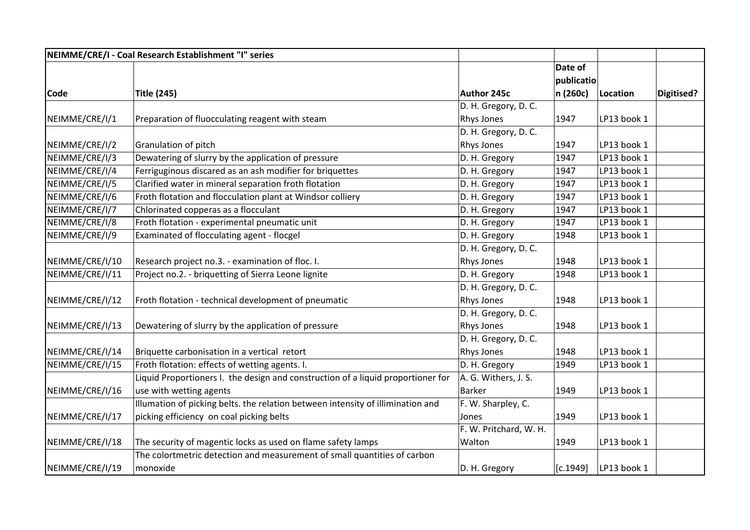|                 | NEIMME/CRE/I - Coal Research Establishment "I" series                            |                        |                       |             |            |
|-----------------|----------------------------------------------------------------------------------|------------------------|-----------------------|-------------|------------|
|                 |                                                                                  |                        | Date of<br>publicatio |             |            |
| Code            | <b>Title (245)</b>                                                               | Author 245c            | n (260c)              | Location    | Digitised? |
|                 |                                                                                  | D. H. Gregory, D. C.   |                       |             |            |
| NEIMME/CRE/I/1  | Preparation of fluocculating reagent with steam                                  | Rhys Jones             | 1947                  | LP13 book 1 |            |
|                 |                                                                                  | D. H. Gregory, D. C.   |                       |             |            |
| NEIMME/CRE/I/2  | Granulation of pitch                                                             | Rhys Jones             | 1947                  | LP13 book 1 |            |
| NEIMME/CRE/I/3  | Dewatering of slurry by the application of pressure                              | D. H. Gregory          | 1947                  | LP13 book 1 |            |
| NEIMME/CRE/I/4  | Ferriguginous discared as an ash modifier for briquettes                         | D. H. Gregory          | 1947                  | LP13 book 1 |            |
| NEIMME/CRE/I/5  | Clarified water in mineral separation froth flotation                            | D. H. Gregory          | 1947                  | LP13 book 1 |            |
| NEIMME/CRE/I/6  | Froth flotation and flocculation plant at Windsor colliery                       | D. H. Gregory          | 1947                  | LP13 book 1 |            |
| NEIMME/CRE/I/7  | Chlorinated copperas as a flocculant                                             | D. H. Gregory          | 1947                  | LP13 book 1 |            |
| NEIMME/CRE/I/8  | Froth flotation - experimental pneumatic unit                                    | D. H. Gregory          | 1947                  | LP13 book 1 |            |
| NEIMME/CRE/I/9  | Examinated of flocculating agent - flocgel                                       | D. H. Gregory          | 1948                  | LP13 book 1 |            |
|                 |                                                                                  | D. H. Gregory, D. C.   |                       |             |            |
| NEIMME/CRE/I/10 | Research project no.3. - examination of floc. I.                                 | Rhys Jones             | 1948                  | LP13 book 1 |            |
| NEIMME/CRE/I/11 | Project no.2. - briquetting of Sierra Leone lignite                              | D. H. Gregory          | 1948                  | LP13 book 1 |            |
|                 |                                                                                  | D. H. Gregory, D. C.   |                       |             |            |
| NEIMME/CRE/I/12 | Froth flotation - technical development of pneumatic                             | Rhys Jones             | 1948                  | LP13 book 1 |            |
|                 |                                                                                  | D. H. Gregory, D. C.   |                       |             |            |
| NEIMME/CRE/I/13 | Dewatering of slurry by the application of pressure                              | Rhys Jones             | 1948                  | LP13 book 1 |            |
|                 |                                                                                  | D. H. Gregory, D. C.   |                       |             |            |
| NEIMME/CRE/I/14 | Briquette carbonisation in a vertical retort                                     | Rhys Jones             | 1948                  | LP13 book 1 |            |
| NEIMME/CRE/I/15 | Froth flotation: effects of wetting agents. I.                                   | D. H. Gregory          | 1949                  | LP13 book 1 |            |
|                 | Liquid Proportioners I. the design and construction of a liquid proportioner for | A. G. Withers, J. S.   |                       |             |            |
| NEIMME/CRE/I/16 | use with wetting agents                                                          | Barker                 | 1949                  | LP13 book 1 |            |
|                 | Illumation of picking belts. the relation between intensity of illimination and  | F. W. Sharpley, C.     |                       |             |            |
| NEIMME/CRE/I/17 | picking efficiency on coal picking belts                                         | Jones                  | 1949                  | LP13 book 1 |            |
|                 |                                                                                  | F. W. Pritchard, W. H. |                       |             |            |
| NEIMME/CRE/I/18 | The security of magentic locks as used on flame safety lamps                     | Walton                 | 1949                  | LP13 book 1 |            |
|                 | The colortmetric detection and measurement of small quantities of carbon         |                        |                       |             |            |
| NEIMME/CRE/I/19 | monoxide                                                                         | D. H. Gregory          | [c.1949]              | LP13 book 1 |            |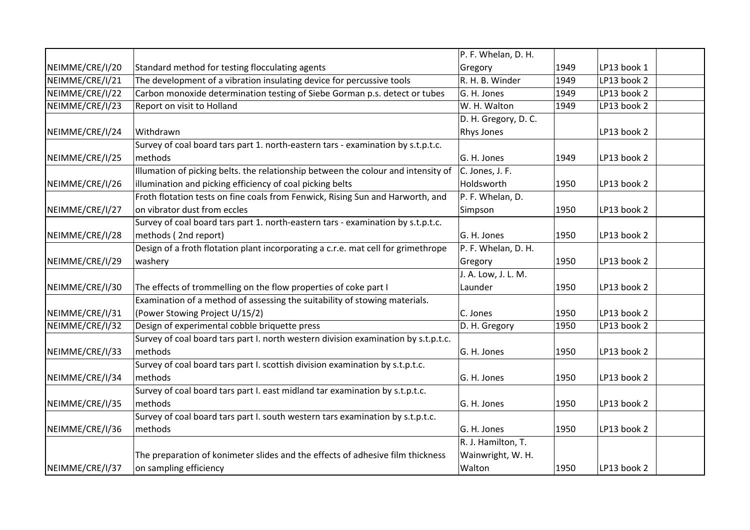|                 |                                                                                    | P. F. Whelan, D. H.  |      |             |  |
|-----------------|------------------------------------------------------------------------------------|----------------------|------|-------------|--|
| NEIMME/CRE/I/20 | Standard method for testing flocculating agents                                    | Gregory              | 1949 | LP13 book 1 |  |
| NEIMME/CRE/I/21 | The development of a vibration insulating device for percussive tools              | R. H. B. Winder      | 1949 | LP13 book 2 |  |
| NEIMME/CRE/I/22 | Carbon monoxide determination testing of Siebe Gorman p.s. detect or tubes         | G. H. Jones          | 1949 | LP13 book 2 |  |
| NEIMME/CRE/I/23 | Report on visit to Holland                                                         | W. H. Walton         | 1949 | LP13 book 2 |  |
|                 |                                                                                    | D. H. Gregory, D. C. |      |             |  |
| NEIMME/CRE/I/24 | Withdrawn                                                                          | <b>Rhys Jones</b>    |      | LP13 book 2 |  |
|                 | Survey of coal board tars part 1. north-eastern tars - examination by s.t.p.t.c.   |                      |      |             |  |
| NEIMME/CRE/I/25 | methods                                                                            | G. H. Jones          | 1949 | LP13 book 2 |  |
|                 | Illumation of picking belts. the relationship between the colour and intensity of  | C. Jones, J. F.      |      |             |  |
| NEIMME/CRE/I/26 | illumination and picking efficiency of coal picking belts                          | Holdsworth           | 1950 | LP13 book 2 |  |
|                 | Froth flotation tests on fine coals from Fenwick, Rising Sun and Harworth, and     | P. F. Whelan, D.     |      |             |  |
| NEIMME/CRE/I/27 | on vibrator dust from eccles                                                       | Simpson              | 1950 | LP13 book 2 |  |
|                 | Survey of coal board tars part 1. north-eastern tars - examination by s.t.p.t.c.   |                      |      |             |  |
| NEIMME/CRE/I/28 | methods (2nd report)                                                               | G. H. Jones          | 1950 | LP13 book 2 |  |
|                 | Design of a froth flotation plant incorporating a c.r.e. mat cell for grimethrope  | P. F. Whelan, D. H.  |      |             |  |
| NEIMME/CRE/I/29 | washery                                                                            | Gregory              | 1950 | LP13 book 2 |  |
|                 |                                                                                    | J. A. Low, J. L. M.  |      |             |  |
| NEIMME/CRE/I/30 | The effects of trommelling on the flow properties of coke part I                   | Launder              | 1950 | LP13 book 2 |  |
|                 | Examination of a method of assessing the suitability of stowing materials.         |                      |      |             |  |
| NEIMME/CRE/I/31 | (Power Stowing Project U/15/2)                                                     | C. Jones             | 1950 | LP13 book 2 |  |
| NEIMME/CRE/I/32 | Design of experimental cobble briquette press                                      | D. H. Gregory        | 1950 | LP13 book 2 |  |
|                 | Survey of coal board tars part I. north western division examination by s.t.p.t.c. |                      |      |             |  |
| NEIMME/CRE/I/33 | methods                                                                            | G. H. Jones          | 1950 | LP13 book 2 |  |
|                 | Survey of coal board tars part I. scottish division examination by s.t.p.t.c.      |                      |      |             |  |
| NEIMME/CRE/I/34 | methods                                                                            | G. H. Jones          | 1950 | LP13 book 2 |  |
|                 | Survey of coal board tars part I. east midland tar examination by s.t.p.t.c.       |                      |      |             |  |
| NEIMME/CRE/I/35 | methods                                                                            | G. H. Jones          | 1950 | LP13 book 2 |  |
|                 | Survey of coal board tars part I. south western tars examination by s.t.p.t.c.     |                      |      |             |  |
| NEIMME/CRE/I/36 | methods                                                                            | G. H. Jones          | 1950 | LP13 book 2 |  |
|                 |                                                                                    | R. J. Hamilton, T.   |      |             |  |
|                 | The preparation of konimeter slides and the effects of adhesive film thickness     | Wainwright, W. H.    |      |             |  |
| NEIMME/CRE/I/37 | on sampling efficiency                                                             | Walton               | 1950 | LP13 book 2 |  |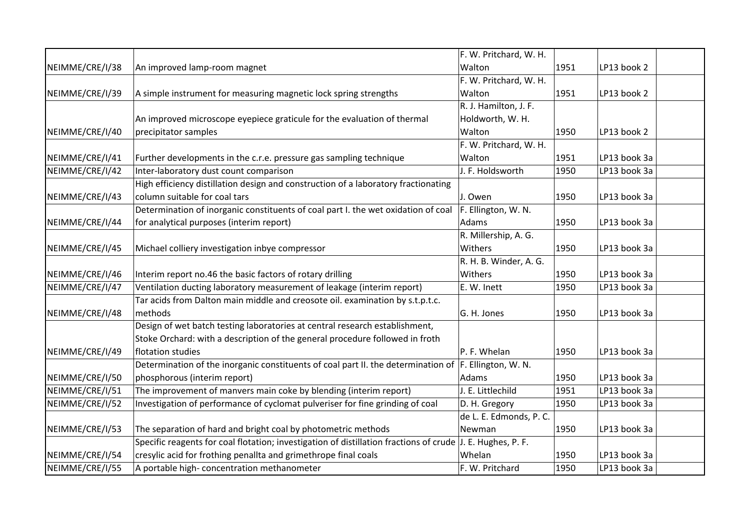|                 |                                                                                                            | F. W. Pritchard, W. H.  |      |              |
|-----------------|------------------------------------------------------------------------------------------------------------|-------------------------|------|--------------|
| NEIMME/CRE/I/38 | An improved lamp-room magnet                                                                               | Walton                  | 1951 | LP13 book 2  |
|                 |                                                                                                            | F. W. Pritchard, W. H.  |      |              |
| NEIMME/CRE/I/39 | A simple instrument for measuring magnetic lock spring strengths                                           | Walton                  | 1951 | LP13 book 2  |
|                 |                                                                                                            | R. J. Hamilton, J. F.   |      |              |
|                 | An improved microscope eyepiece graticule for the evaluation of thermal                                    | Holdworth, W. H.        |      |              |
| NEIMME/CRE/I/40 | precipitator samples                                                                                       | Walton                  | 1950 | LP13 book 2  |
|                 |                                                                                                            | F. W. Pritchard, W. H.  |      |              |
| NEIMME/CRE/I/41 | Further developments in the c.r.e. pressure gas sampling technique                                         | Walton                  | 1951 | LP13 book 3a |
| NEIMME/CRE/I/42 | Inter-laboratory dust count comparison                                                                     | J. F. Holdsworth        | 1950 | LP13 book 3a |
|                 | High efficiency distillation design and construction of a laboratory fractionating                         |                         |      |              |
| NEIMME/CRE/I/43 | column suitable for coal tars                                                                              | J. Owen                 | 1950 | LP13 book 3a |
|                 | Determination of inorganic constituents of coal part I. the wet oxidation of coal                          | F. Ellington, W. N.     |      |              |
| NEIMME/CRE/I/44 | for analytical purposes (interim report)                                                                   | Adams                   | 1950 | LP13 book 3a |
|                 |                                                                                                            | R. Millership, A. G.    |      |              |
| NEIMME/CRE/I/45 | Michael colliery investigation inbye compressor                                                            | Withers                 | 1950 | LP13 book 3a |
|                 |                                                                                                            | R. H. B. Winder, A. G.  |      |              |
| NEIMME/CRE/I/46 | Interim report no.46 the basic factors of rotary drilling                                                  | Withers                 | 1950 | LP13 book 3a |
| NEIMME/CRE/I/47 | Ventilation ducting laboratory measurement of leakage (interim report)                                     | E. W. Inett             | 1950 | LP13 book 3a |
|                 | Tar acids from Dalton main middle and creosote oil. examination by s.t.p.t.c.                              |                         |      |              |
| NEIMME/CRE/I/48 | methods                                                                                                    | G. H. Jones             | 1950 | LP13 book 3a |
|                 | Design of wet batch testing laboratories at central research establishment,                                |                         |      |              |
|                 | Stoke Orchard: with a description of the general procedure followed in froth                               |                         |      |              |
| NEIMME/CRE/I/49 | flotation studies                                                                                          | P. F. Whelan            | 1950 | LP13 book 3a |
|                 | Determination of the inorganic constituents of coal part II. the determination of F. Ellington, W. N.      |                         |      |              |
| NEIMME/CRE/I/50 | phosphorous (interim report)                                                                               | Adams                   | 1950 | LP13 book 3a |
| NEIMME/CRE/I/51 | The improvement of manvers main coke by blending (interim report)                                          | J. E. Littlechild       | 1951 | LP13 book 3a |
| NEIMME/CRE/I/52 | Investigation of performance of cyclomat pulveriser for fine grinding of coal                              | D. H. Gregory           | 1950 | LP13 book 3a |
|                 |                                                                                                            | de L. E. Edmonds, P. C. |      |              |
| NEIMME/CRE/I/53 | The separation of hard and bright coal by photometric methods                                              | Newman                  | 1950 | LP13 book 3a |
|                 | Specific reagents for coal flotation; investigation of distillation fractions of crude J. E. Hughes, P. F. |                         |      |              |
| NEIMME/CRE/I/54 | cresylic acid for frothing penallta and grimethrope final coals                                            | Whelan                  | 1950 | LP13 book 3a |
| NEIMME/CRE/I/55 | A portable high- concentration methanometer                                                                | F. W. Pritchard         | 1950 | LP13 book 3a |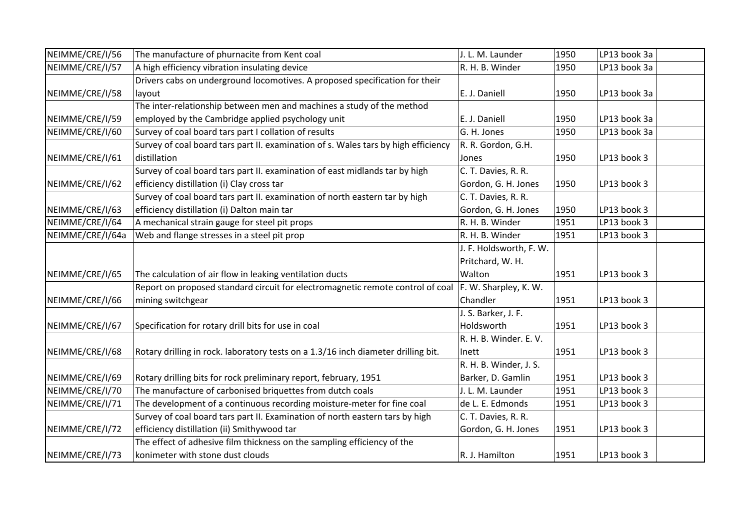| NEIMME/CRE/I/56  | The manufacture of phurnacite from Kent coal                                       | J. L. M. Launder        | 1950 | LP13 book 3a |  |
|------------------|------------------------------------------------------------------------------------|-------------------------|------|--------------|--|
| NEIMME/CRE/I/57  | A high efficiency vibration insulating device                                      | R. H. B. Winder         | 1950 | LP13 book 3a |  |
|                  | Drivers cabs on underground locomotives. A proposed specification for their        |                         |      |              |  |
| NEIMME/CRE/I/58  | layout                                                                             | E. J. Daniell           | 1950 | LP13 book 3a |  |
|                  | The inter-relationship between men and machines a study of the method              |                         |      |              |  |
| NEIMME/CRE/I/59  | employed by the Cambridge applied psychology unit                                  | E. J. Daniell           | 1950 | LP13 book 3a |  |
| NEIMME/CRE/I/60  | Survey of coal board tars part I collation of results                              | G. H. Jones             | 1950 | LP13 book 3a |  |
|                  | Survey of coal board tars part II. examination of s. Wales tars by high efficiency | R. R. Gordon, G.H.      |      |              |  |
| NEIMME/CRE/I/61  | distillation                                                                       | Jones                   | 1950 | LP13 book 3  |  |
|                  | Survey of coal board tars part II. examination of east midlands tar by high        | C. T. Davies, R. R.     |      |              |  |
| NEIMME/CRE/I/62  | efficiency distillation (i) Clay cross tar                                         | Gordon, G. H. Jones     | 1950 | LP13 book 3  |  |
|                  | Survey of coal board tars part II. examination of north eastern tar by high        | C. T. Davies, R. R.     |      |              |  |
| NEIMME/CRE/I/63  | efficiency distillation (i) Dalton main tar                                        | Gordon, G. H. Jones     | 1950 | LP13 book 3  |  |
| NEIMME/CRE/I/64  | A mechanical strain gauge for steel pit props                                      | R. H. B. Winder         | 1951 | LP13 book 3  |  |
| NEIMME/CRE/I/64a | Web and flange stresses in a steel pit prop                                        | R. H. B. Winder         | 1951 | LP13 book 3  |  |
|                  |                                                                                    | J. F. Holdsworth, F. W. |      |              |  |
|                  |                                                                                    | Pritchard, W. H.        |      |              |  |
| NEIMME/CRE/I/65  | The calculation of air flow in leaking ventilation ducts                           | Walton                  | 1951 | LP13 book 3  |  |
|                  | Report on proposed standard circuit for electromagnetic remote control of coal     | F. W. Sharpley, K. W.   |      |              |  |
| NEIMME/CRE/I/66  | mining switchgear                                                                  | Chandler                | 1951 | LP13 book 3  |  |
|                  |                                                                                    | J. S. Barker, J. F.     |      |              |  |
| NEIMME/CRE/I/67  | Specification for rotary drill bits for use in coal                                | Holdsworth              | 1951 | LP13 book 3  |  |
|                  |                                                                                    | R. H. B. Winder. E. V.  |      |              |  |
| NEIMME/CRE/I/68  | Rotary drilling in rock. laboratory tests on a 1.3/16 inch diameter drilling bit.  | Inett                   | 1951 | LP13 book 3  |  |
|                  |                                                                                    | R. H. B. Winder, J. S.  |      |              |  |
| NEIMME/CRE/I/69  | Rotary drilling bits for rock preliminary report, february, 1951                   | Barker, D. Gamlin       | 1951 | LP13 book 3  |  |
| NEIMME/CRE/I/70  | The manufacture of carbonised briquettes from dutch coals                          | J. L. M. Launder        | 1951 | LP13 book 3  |  |
| NEIMME/CRE/I/71  | The development of a continuous recording moisture-meter for fine coal             | de L. E. Edmonds        | 1951 | LP13 book 3  |  |
|                  | Survey of coal board tars part II. Examination of north eastern tars by high       | C. T. Davies, R. R.     |      |              |  |
| NEIMME/CRE/I/72  | efficiency distillation (ii) Smithywood tar                                        | Gordon, G. H. Jones     | 1951 | LP13 book 3  |  |
|                  | The effect of adhesive film thickness on the sampling efficiency of the            |                         |      |              |  |
| NEIMME/CRE/I/73  | konimeter with stone dust clouds                                                   | R. J. Hamilton          | 1951 | LP13 book 3  |  |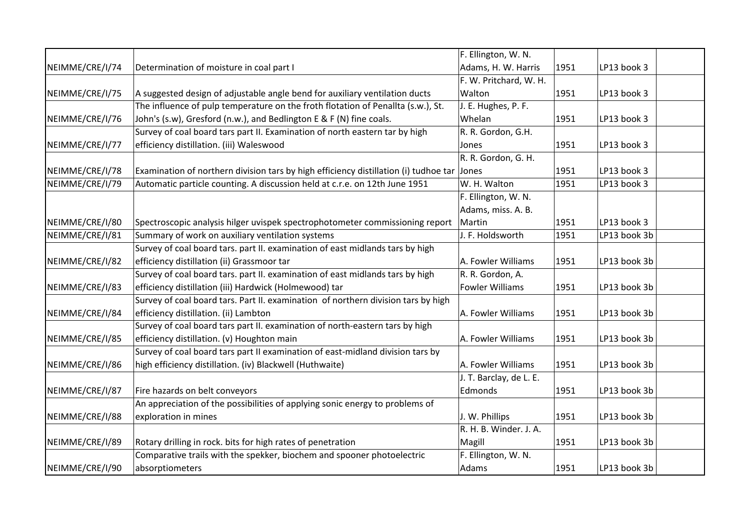|                 |                                                                                            | F. Ellington, W. N.     |      |              |  |
|-----------------|--------------------------------------------------------------------------------------------|-------------------------|------|--------------|--|
| NEIMME/CRE/I/74 | Determination of moisture in coal part I                                                   | Adams, H. W. Harris     | 1951 | LP13 book 3  |  |
|                 |                                                                                            | F. W. Pritchard, W. H.  |      |              |  |
| NEIMME/CRE/I/75 | A suggested design of adjustable angle bend for auxiliary ventilation ducts                | Walton                  | 1951 | LP13 book 3  |  |
|                 | The influence of pulp temperature on the froth flotation of Penallta (s.w.), St.           | J. E. Hughes, P. F.     |      |              |  |
| NEIMME/CRE/I/76 | John's (s.w), Gresford (n.w.), and Bedlington E & F (N) fine coals.                        | Whelan                  | 1951 | LP13 book 3  |  |
|                 | Survey of coal board tars part II. Examination of north eastern tar by high                | R. R. Gordon, G.H.      |      |              |  |
| NEIMME/CRE/I/77 | efficiency distillation. (iii) Waleswood                                                   | Jones                   | 1951 | LP13 book 3  |  |
|                 |                                                                                            | R. R. Gordon, G. H.     |      |              |  |
| NEIMME/CRE/I/78 | Examination of northern division tars by high efficiency distillation (i) tudhoe tar Jones |                         | 1951 | LP13 book 3  |  |
| NEIMME/CRE/I/79 | Automatic particle counting. A discussion held at c.r.e. on 12th June 1951                 | W. H. Walton            | 1951 | LP13 book 3  |  |
|                 |                                                                                            | F. Ellington, W. N.     |      |              |  |
|                 |                                                                                            | Adams, miss. A. B.      |      |              |  |
| NEIMME/CRE/I/80 | Spectroscopic analysis hilger uvispek spectrophotometer commissioning report               | Martin                  | 1951 | LP13 book 3  |  |
| NEIMME/CRE/I/81 | Summary of work on auxiliary ventilation systems                                           | J. F. Holdsworth        | 1951 | LP13 book 3b |  |
|                 | Survey of coal board tars. part II. examination of east midlands tars by high              |                         |      |              |  |
| NEIMME/CRE/I/82 | efficiency distillation (ii) Grassmoor tar                                                 | A. Fowler Williams      | 1951 | LP13 book 3b |  |
|                 | Survey of coal board tars. part II. examination of east midlands tars by high              | R. R. Gordon, A.        |      |              |  |
| NEIMME/CRE/I/83 | efficiency distillation (iii) Hardwick (Holmewood) tar                                     | <b>Fowler Williams</b>  | 1951 | LP13 book 3b |  |
|                 | Survey of coal board tars. Part II. examination of northern division tars by high          |                         |      |              |  |
| NEIMME/CRE/I/84 | efficiency distillation. (ii) Lambton                                                      | A. Fowler Williams      | 1951 | LP13 book 3b |  |
|                 | Survey of coal board tars part II. examination of north-eastern tars by high               |                         |      |              |  |
| NEIMME/CRE/I/85 | efficiency distillation. (v) Houghton main                                                 | A. Fowler Williams      | 1951 | LP13 book 3b |  |
|                 | Survey of coal board tars part II examination of east-midland division tars by             |                         |      |              |  |
| NEIMME/CRE/I/86 | high efficiency distillation. (iv) Blackwell (Huthwaite)                                   | A. Fowler Williams      | 1951 | LP13 book 3b |  |
|                 |                                                                                            | J. T. Barclay, de L. E. |      |              |  |
| NEIMME/CRE/I/87 | Fire hazards on belt conveyors                                                             | Edmonds                 | 1951 | LP13 book 3b |  |
|                 | An appreciation of the possibilities of applying sonic energy to problems of               |                         |      |              |  |
| NEIMME/CRE/I/88 | exploration in mines                                                                       | J. W. Phillips          | 1951 | LP13 book 3b |  |
|                 |                                                                                            | R. H. B. Winder. J. A.  |      |              |  |
| NEIMME/CRE/I/89 | Rotary drilling in rock. bits for high rates of penetration                                | Magill                  | 1951 | LP13 book 3b |  |
|                 | Comparative trails with the spekker, biochem and spooner photoelectric                     | F. Ellington, W. N.     |      |              |  |
| NEIMME/CRE/I/90 | absorptiometers                                                                            | Adams                   | 1951 | LP13 book 3b |  |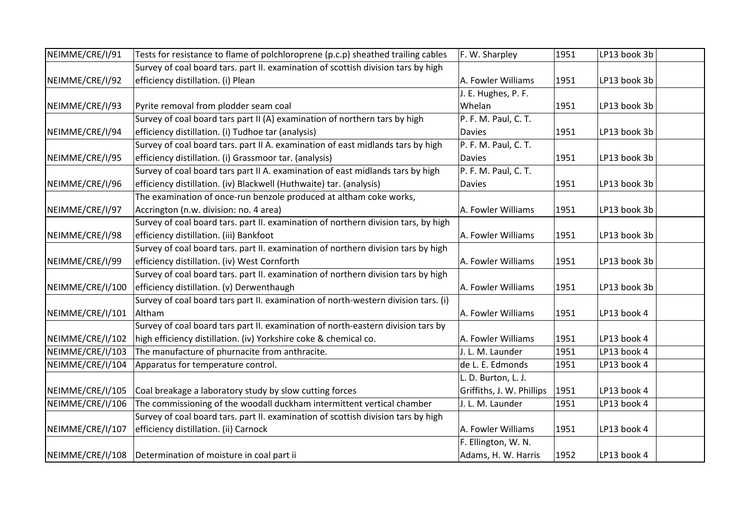| NEIMME/CRE/I/91  | Tests for resistance to flame of polchloroprene (p.c.p) sheathed trailing cables   | F. W. Sharpley            | 1951 | LP13 book 3b |  |
|------------------|------------------------------------------------------------------------------------|---------------------------|------|--------------|--|
|                  | Survey of coal board tars. part II. examination of scottish division tars by high  |                           |      |              |  |
| NEIMME/CRE/I/92  | efficiency distillation. (i) Plean                                                 | A. Fowler Williams        | 1951 | LP13 book 3b |  |
|                  |                                                                                    | J. E. Hughes, P. F.       |      |              |  |
| NEIMME/CRE/I/93  | Pyrite removal from plodder seam coal                                              | Whelan                    | 1951 | LP13 book 3b |  |
|                  | Survey of coal board tars part II (A) examination of northern tars by high         | P. F. M. Paul, C. T.      |      |              |  |
| NEIMME/CRE/I/94  | efficiency distillation. (i) Tudhoe tar (analysis)                                 | <b>Davies</b>             | 1951 | LP13 book 3b |  |
|                  | Survey of coal board tars. part II A. examination of east midlands tars by high    | P. F. M. Paul, C. T.      |      |              |  |
| NEIMME/CRE/I/95  | efficiency distillation. (i) Grassmoor tar. (analysis)                             | <b>Davies</b>             | 1951 | LP13 book 3b |  |
|                  | Survey of coal board tars part II A. examination of east midlands tars by high     | P. F. M. Paul, C. T.      |      |              |  |
| NEIMME/CRE/I/96  | efficiency distillation. (iv) Blackwell (Huthwaite) tar. (analysis)                | <b>Davies</b>             | 1951 | LP13 book 3b |  |
|                  | The examination of once-run benzole produced at altham coke works,                 |                           |      |              |  |
| NEIMME/CRE/I/97  | Accrington (n.w. division: no. 4 area)                                             | A. Fowler Williams        | 1951 | LP13 book 3b |  |
|                  | Survey of coal board tars. part II. examination of northern division tars, by high |                           |      |              |  |
| NEIMME/CRE/I/98  | efficiency distillation. (iii) Bankfoot                                            | A. Fowler Williams        | 1951 | LP13 book 3b |  |
|                  | Survey of coal board tars. part II. examination of northern division tars by high  |                           |      |              |  |
| NEIMME/CRE/I/99  | efficiency distillation. (iv) West Cornforth                                       | A. Fowler Williams        | 1951 | LP13 book 3b |  |
|                  | Survey of coal board tars. part II. examination of northern division tars by high  |                           |      |              |  |
| NEIMME/CRE/I/100 | efficiency distillation. (v) Derwenthaugh                                          | A. Fowler Williams        | 1951 | LP13 book 3b |  |
|                  | Survey of coal board tars part II. examination of north-western division tars. (i) |                           |      |              |  |
| NEIMME/CRE/I/101 | Altham                                                                             | A. Fowler Williams        | 1951 | LP13 book 4  |  |
|                  | Survey of coal board tars part II. examination of north-eastern division tars by   |                           |      |              |  |
| NEIMME/CRE/I/102 | high efficiency distillation. (iv) Yorkshire coke & chemical co.                   | A. Fowler Williams        | 1951 | LP13 book 4  |  |
| NEIMME/CRE/I/103 | The manufacture of phurnacite from anthracite.                                     | J. L. M. Launder          | 1951 | LP13 book 4  |  |
| NEIMME/CRE/I/104 | Apparatus for temperature control.                                                 | de L. E. Edmonds          | 1951 | LP13 book 4  |  |
|                  |                                                                                    | L. D. Burton, L. J.       |      |              |  |
| NEIMME/CRE/I/105 | Coal breakage a laboratory study by slow cutting forces                            | Griffiths, J. W. Phillips | 1951 | LP13 book 4  |  |
| NEIMME/CRE/I/106 | The commissioning of the woodall duckham intermittent vertical chamber             | J. L. M. Launder          | 1951 | LP13 book 4  |  |
|                  | Survey of coal board tars. part II. examination of scottish division tars by high  |                           |      |              |  |
| NEIMME/CRE/I/107 | efficiency distillation. (ii) Carnock                                              | A. Fowler Williams        | 1951 | LP13 book 4  |  |
|                  |                                                                                    | F. Ellington, W. N.       |      |              |  |
| NEIMME/CRE/I/108 | Determination of moisture in coal part ii                                          | Adams, H. W. Harris       | 1952 | LP13 book 4  |  |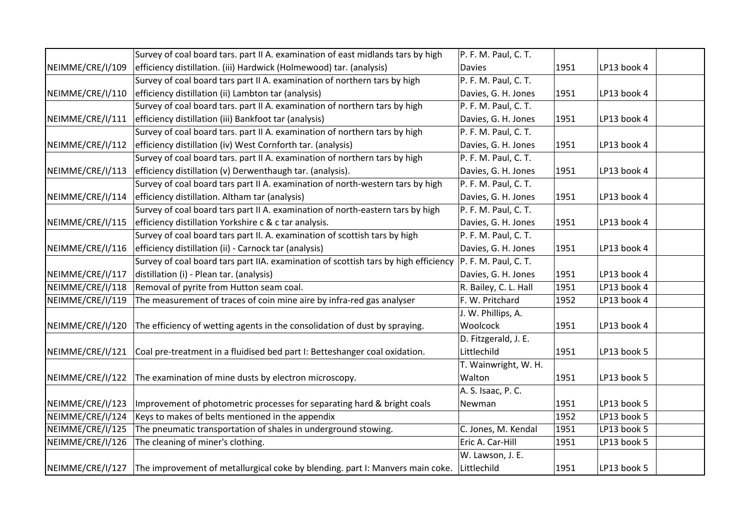|                  | Survey of coal board tars. part II A. examination of east midlands tars by high     | P. F. M. Paul, C. T.  |      |             |
|------------------|-------------------------------------------------------------------------------------|-----------------------|------|-------------|
| NEIMME/CRE/I/109 | efficiency distillation. (iii) Hardwick (Holmewood) tar. (analysis)                 | <b>Davies</b>         | 1951 | LP13 book 4 |
|                  | Survey of coal board tars part II A. examination of northern tars by high           | P. F. M. Paul, C. T.  |      |             |
| NEIMME/CRE/I/110 | efficiency distillation (ii) Lambton tar (analysis)                                 | Davies, G. H. Jones   | 1951 | LP13 book 4 |
|                  | Survey of coal board tars. part II A. examination of northern tars by high          | P. F. M. Paul, C. T.  |      |             |
| NEIMME/CRE/I/111 | efficiency distillation (iii) Bankfoot tar (analysis)                               | Davies, G. H. Jones   | 1951 | LP13 book 4 |
|                  | Survey of coal board tars. part II A. examination of northern tars by high          | P. F. M. Paul, C. T.  |      |             |
| NEIMME/CRE/I/112 | efficiency distillation (iv) West Cornforth tar. (analysis)                         | Davies, G. H. Jones   | 1951 | LP13 book 4 |
|                  | Survey of coal board tars. part II A. examination of northern tars by high          | P. F. M. Paul, C. T.  |      |             |
| NEIMME/CRE/I/113 | efficiency distillation (v) Derwenthaugh tar. (analysis).                           | Davies, G. H. Jones   | 1951 | LP13 book 4 |
|                  | Survey of coal board tars part II A. examination of north-western tars by high      | P. F. M. Paul, C. T.  |      |             |
| NEIMME/CRE/I/114 | efficiency distillation. Altham tar (analysis)                                      | Davies, G. H. Jones   | 1951 | LP13 book 4 |
|                  | Survey of coal board tars part II A. examination of north-eastern tars by high      | P. F. M. Paul, C. T.  |      |             |
| NEIMME/CRE/I/115 | efficiency distillation Yorkshire c & c tar analysis.                               | Davies, G. H. Jones   | 1951 | LP13 book 4 |
|                  | Survey of coal board tars part II. A. examination of scottish tars by high          | P. F. M. Paul, C. T.  |      |             |
| NEIMME/CRE/I/116 | efficiency distillation (ii) - Carnock tar (analysis)                               | Davies, G. H. Jones   | 1951 | LP13 book 4 |
|                  | Survey of coal board tars part IIA. examination of scottish tars by high efficiency | P. F. M. Paul, C. T.  |      |             |
| NEIMME/CRE/I/117 | distillation (i) - Plean tar. (analysis)                                            | Davies, G. H. Jones   | 1951 | LP13 book 4 |
| NEIMME/CRE/I/118 | Removal of pyrite from Hutton seam coal.                                            | R. Bailey, C. L. Hall | 1951 | LP13 book 4 |
| NEIMME/CRE/I/119 | The measurement of traces of coin mine aire by infra-red gas analyser               | F. W. Pritchard       | 1952 | LP13 book 4 |
|                  |                                                                                     | J. W. Phillips, A.    |      |             |
| NEIMME/CRE/I/120 | The efficiency of wetting agents in the consolidation of dust by spraying.          | Woolcock              | 1951 | LP13 book 4 |
|                  |                                                                                     | D. Fitzgerald, J. E.  |      |             |
| NEIMME/CRE/I/121 | Coal pre-treatment in a fluidised bed part I: Betteshanger coal oxidation.          | Littlechild           | 1951 | LP13 book 5 |
|                  |                                                                                     | T. Wainwright, W. H.  |      |             |
| NEIMME/CRE/I/122 | The examination of mine dusts by electron microscopy.                               | Walton                | 1951 | LP13 book 5 |
|                  |                                                                                     | A. S. Isaac, P. C.    |      |             |
| NEIMME/CRE/I/123 | Improvement of photometric processes for separating hard & bright coals             | Newman                | 1951 | LP13 book 5 |
| NEIMME/CRE/I/124 | Keys to makes of belts mentioned in the appendix                                    |                       | 1952 | LP13 book 5 |
| NEIMME/CRE/I/125 | The pneumatic transportation of shales in underground stowing.                      | C. Jones, M. Kendal   | 1951 | LP13 book 5 |
| NEIMME/CRE/I/126 | The cleaning of miner's clothing.                                                   | Eric A. Car-Hill      | 1951 | LP13 book 5 |
|                  |                                                                                     | W. Lawson, J. E.      |      |             |
| NEIMME/CRE/I/127 | The improvement of metallurgical coke by blending. part I: Manvers main coke.       | Littlechild           | 1951 | LP13 book 5 |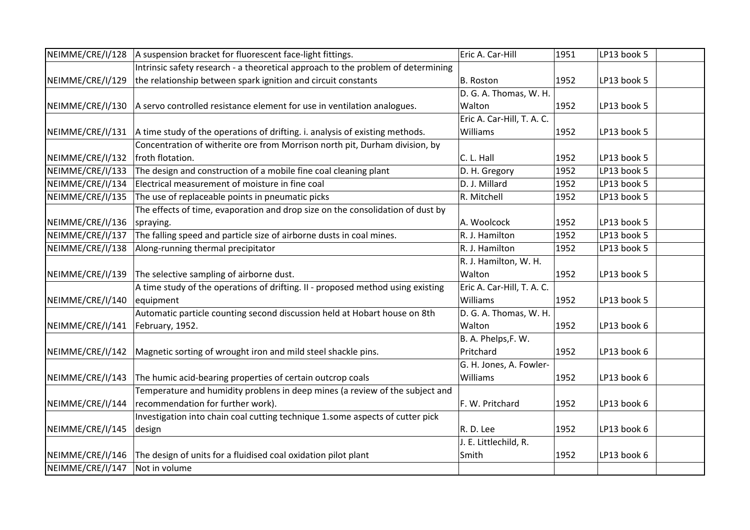| NEIMME/CRE/I/128 | A suspension bracket for fluorescent face-light fittings.                        | Eric A. Car-Hill           | 1951 | LP13 book 5 |  |
|------------------|----------------------------------------------------------------------------------|----------------------------|------|-------------|--|
|                  | Intrinsic safety research - a theoretical approach to the problem of determining |                            |      |             |  |
| NEIMME/CRE/I/129 | the relationship between spark ignition and circuit constants                    | <b>B.</b> Roston           | 1952 | LP13 book 5 |  |
|                  |                                                                                  | D. G. A. Thomas, W. H.     |      |             |  |
| NEIMME/CRE/I/130 | A servo controlled resistance element for use in ventilation analogues.          | Walton                     | 1952 | LP13 book 5 |  |
|                  |                                                                                  | Eric A. Car-Hill, T. A. C. |      |             |  |
| NEIMME/CRE/I/131 | A time study of the operations of drifting. i. analysis of existing methods.     | Williams                   | 1952 | LP13 book 5 |  |
|                  | Concentration of witherite ore from Morrison north pit, Durham division, by      |                            |      |             |  |
| NEIMME/CRE/I/132 | froth flotation.                                                                 | C. L. Hall                 | 1952 | LP13 book 5 |  |
| NEIMME/CRE/I/133 | The design and construction of a mobile fine coal cleaning plant                 | D. H. Gregory              | 1952 | LP13 book 5 |  |
| NEIMME/CRE/I/134 | Electrical measurement of moisture in fine coal                                  | D. J. Millard              | 1952 | LP13 book 5 |  |
| NEIMME/CRE/I/135 | The use of replaceable points in pneumatic picks                                 | R. Mitchell                | 1952 | LP13 book 5 |  |
|                  | The effects of time, evaporation and drop size on the consolidation of dust by   |                            |      |             |  |
| NEIMME/CRE/I/136 | spraying.                                                                        | A. Woolcock                | 1952 | LP13 book 5 |  |
| NEIMME/CRE/I/137 | The falling speed and particle size of airborne dusts in coal mines.             | R. J. Hamilton             | 1952 | LP13 book 5 |  |
| NEIMME/CRE/I/138 | Along-running thermal precipitator                                               | R. J. Hamilton             | 1952 | LP13 book 5 |  |
|                  |                                                                                  | R. J. Hamilton, W. H.      |      |             |  |
| NEIMME/CRE/I/139 | The selective sampling of airborne dust.                                         | Walton                     | 1952 | LP13 book 5 |  |
|                  | A time study of the operations of drifting. II - proposed method using existing  | Eric A. Car-Hill, T. A. C. |      |             |  |
| NEIMME/CRE/I/140 | equipment                                                                        | Williams                   | 1952 | LP13 book 5 |  |
|                  | Automatic particle counting second discussion held at Hobart house on 8th        | D. G. A. Thomas, W. H.     |      |             |  |
| NEIMME/CRE/I/141 | February, 1952.                                                                  | Walton                     | 1952 | LP13 book 6 |  |
|                  |                                                                                  | B. A. Phelps, F. W.        |      |             |  |
| NEIMME/CRE/I/142 | Magnetic sorting of wrought iron and mild steel shackle pins.                    | Pritchard                  | 1952 | LP13 book 6 |  |
|                  |                                                                                  | G. H. Jones, A. Fowler-    |      |             |  |
| NEIMME/CRE/I/143 | The humic acid-bearing properties of certain outcrop coals                       | Williams                   | 1952 | LP13 book 6 |  |
|                  | Temperature and humidity problens in deep mines (a review of the subject and     |                            |      |             |  |
| NEIMME/CRE/I/144 | recommendation for further work).                                                | F. W. Pritchard            | 1952 | LP13 book 6 |  |
|                  | Investigation into chain coal cutting technique 1.some aspects of cutter pick    |                            |      |             |  |
| NEIMME/CRE/I/145 | design                                                                           | R. D. Lee                  | 1952 | LP13 book 6 |  |
|                  |                                                                                  | J. E. Littlechild, R.      |      |             |  |
| NEIMME/CRE/I/146 | The design of units for a fluidised coal oxidation pilot plant                   | Smith                      | 1952 | LP13 book 6 |  |
| NEIMME/CRE/I/147 | Not in volume                                                                    |                            |      |             |  |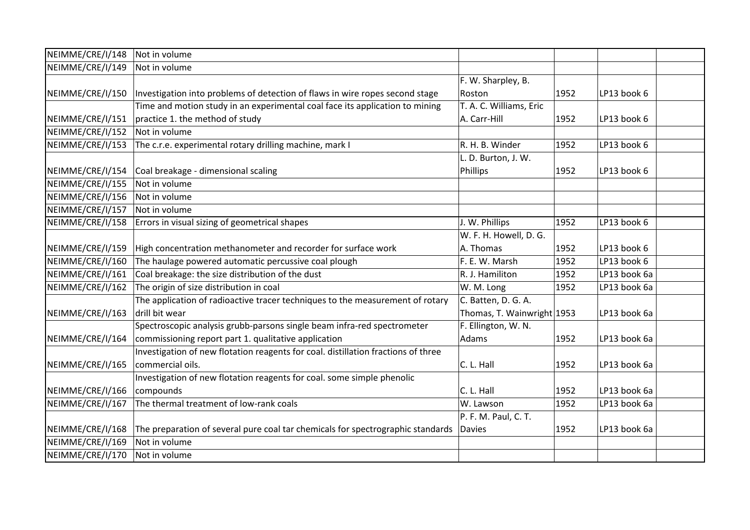| NEIMME/CRE/I/148 | Not in volume                                                                     |                            |      |              |  |
|------------------|-----------------------------------------------------------------------------------|----------------------------|------|--------------|--|
| NEIMME/CRE/I/149 | Not in volume                                                                     |                            |      |              |  |
|                  |                                                                                   | F. W. Sharpley, B.         |      |              |  |
| NEIMME/CRE/I/150 | Investigation into problems of detection of flaws in wire ropes second stage      | Roston                     | 1952 | LP13 book 6  |  |
|                  | Time and motion study in an experimental coal face its application to mining      | T. A. C. Williams, Eric    |      |              |  |
| NEIMME/CRE/I/151 | practice 1. the method of study                                                   | A. Carr-Hill               | 1952 | LP13 book 6  |  |
| NEIMME/CRE/I/152 | Not in volume                                                                     |                            |      |              |  |
| NEIMME/CRE/I/153 | The c.r.e. experimental rotary drilling machine, mark I                           | R. H. B. Winder            | 1952 | LP13 book 6  |  |
|                  |                                                                                   | L. D. Burton, J. W.        |      |              |  |
| NEIMME/CRE/I/154 | Coal breakage - dimensional scaling                                               | Phillips                   | 1952 | LP13 book 6  |  |
| NEIMME/CRE/I/155 | Not in volume                                                                     |                            |      |              |  |
| NEIMME/CRE/I/156 | Not in volume                                                                     |                            |      |              |  |
| NEIMME/CRE/I/157 | Not in volume                                                                     |                            |      |              |  |
| NEIMME/CRE/I/158 | Errors in visual sizing of geometrical shapes                                     | J. W. Phillips             | 1952 | LP13 book 6  |  |
|                  |                                                                                   | W. F. H. Howell, D. G.     |      |              |  |
| NEIMME/CRE/I/159 | High concentration methanometer and recorder for surface work                     | A. Thomas                  | 1952 | LP13 book 6  |  |
| NEIMME/CRE/I/160 | The haulage powered automatic percussive coal plough                              | F. E. W. Marsh             | 1952 | LP13 book 6  |  |
| NEIMME/CRE/I/161 | Coal breakage: the size distribution of the dust                                  | R. J. Hamiliton            | 1952 | LP13 book 6a |  |
| NEIMME/CRE/I/162 | The origin of size distribution in coal                                           | W. M. Long                 | 1952 | LP13 book 6a |  |
|                  | The application of radioactive tracer techniques to the measurement of rotary     | C. Batten, D. G. A.        |      |              |  |
| NEIMME/CRE/I/163 | drill bit wear                                                                    | Thomas, T. Wainwright 1953 |      | LP13 book 6a |  |
|                  | Spectroscopic analysis grubb-parsons single beam infra-red spectrometer           | F. Ellington, W. N.        |      |              |  |
| NEIMME/CRE/I/164 | commissioning report part 1. qualitative application                              | Adams                      | 1952 | LP13 book 6a |  |
|                  | Investigation of new flotation reagents for coal. distillation fractions of three |                            |      |              |  |
| NEIMME/CRE/I/165 | commercial oils.                                                                  | C. L. Hall                 | 1952 | LP13 book 6a |  |
|                  | Investigation of new flotation reagents for coal. some simple phenolic            |                            |      |              |  |
| NEIMME/CRE/I/166 | compounds                                                                         | C. L. Hall                 | 1952 | LP13 book 6a |  |
| NEIMME/CRE/I/167 | The thermal treatment of low-rank coals                                           | W. Lawson                  | 1952 | LP13 book 6a |  |
|                  |                                                                                   | P. F. M. Paul, C. T.       |      |              |  |
| NEIMME/CRE/I/168 | The preparation of several pure coal tar chemicals for spectrographic standards   | Davies                     | 1952 | LP13 book 6a |  |
| NEIMME/CRE/I/169 | Not in volume                                                                     |                            |      |              |  |
| NEIMME/CRE/I/170 | Not in volume                                                                     |                            |      |              |  |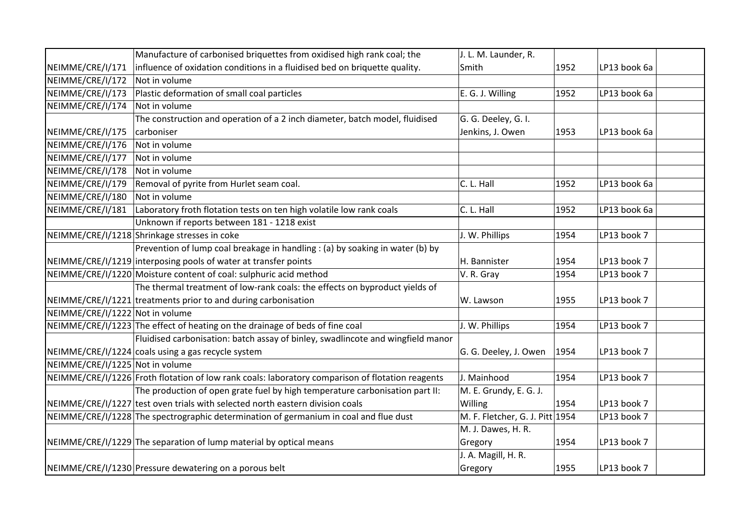|                                 | Manufacture of carbonised briquettes from oxidised high rank coal; the                           | J. L. M. Launder, R.            |      |              |  |
|---------------------------------|--------------------------------------------------------------------------------------------------|---------------------------------|------|--------------|--|
| NEIMME/CRE/I/171                | influence of oxidation conditions in a fluidised bed on briquette quality.                       | Smith                           | 1952 | LP13 book 6a |  |
| NEIMME/CRE/I/172                | Not in volume                                                                                    |                                 |      |              |  |
| NEIMME/CRE/I/173                | Plastic deformation of small coal particles                                                      | E. G. J. Willing                | 1952 | LP13 book 6a |  |
| NEIMME/CRE/I/174                | Not in volume                                                                                    |                                 |      |              |  |
|                                 | The construction and operation of a 2 inch diameter, batch model, fluidised                      | G. G. Deeley, G. I.             |      |              |  |
| NEIMME/CRE/I/175                | carboniser                                                                                       | Jenkins, J. Owen                | 1953 | LP13 book 6a |  |
| NEIMME/CRE/I/176                | Not in volume                                                                                    |                                 |      |              |  |
| NEIMME/CRE/I/177                | Not in volume                                                                                    |                                 |      |              |  |
| NEIMME/CRE/I/178                | Not in volume                                                                                    |                                 |      |              |  |
| NEIMME/CRE/I/179                | Removal of pyrite from Hurlet seam coal.                                                         | C. L. Hall                      | 1952 | LP13 book 6a |  |
| NEIMME/CRE/I/180                | Not in volume                                                                                    |                                 |      |              |  |
| NEIMME/CRE/I/181                | Laboratory froth flotation tests on ten high volatile low rank coals                             | C. L. Hall                      | 1952 | LP13 book 6a |  |
|                                 | Unknown if reports between 181 - 1218 exist                                                      |                                 |      |              |  |
|                                 | NEIMME/CRE/I/1218 Shrinkage stresses in coke                                                     | J. W. Phillips                  | 1954 | LP13 book 7  |  |
|                                 | Prevention of lump coal breakage in handling : (a) by soaking in water (b) by                    |                                 |      |              |  |
|                                 | NEIMME/CRE/I/1219 interposing pools of water at transfer points                                  | H. Bannister                    | 1954 | LP13 book 7  |  |
|                                 | NEIMME/CRE/I/1220 Moisture content of coal: sulphuric acid method                                | V. R. Gray                      | 1954 | LP13 book 7  |  |
|                                 | The thermal treatment of low-rank coals: the effects on byproduct yields of                      |                                 |      |              |  |
|                                 | NEIMME/CRE/I/1221 treatments prior to and during carbonisation                                   | W. Lawson                       | 1955 | LP13 book 7  |  |
| NEIMME/CRE/I/1222 Not in volume |                                                                                                  |                                 |      |              |  |
|                                 | NEIMME/CRE/I/1223 The effect of heating on the drainage of beds of fine coal                     | J. W. Phillips                  | 1954 | LP13 book 7  |  |
|                                 | Fluidised carbonisation: batch assay of binley, swadlincote and wingfield manor                  |                                 |      |              |  |
|                                 | NEIMME/CRE/I/1224 coals using a gas recycle system                                               | G. G. Deeley, J. Owen           | 1954 | LP13 book 7  |  |
| NEIMME/CRE/I/1225 Not in volume |                                                                                                  |                                 |      |              |  |
|                                 | NEIMME/CRE/I/1226 Froth flotation of low rank coals: laboratory comparison of flotation reagents | J. Mainhood                     | 1954 | LP13 book 7  |  |
|                                 | The production of open grate fuel by high temperature carbonisation part II:                     | M. E. Grundy, E. G. J.          |      |              |  |
|                                 | NEIMME/CRE/I/1227 test oven trials with selected north eastern division coals                    | Willing                         | 1954 | LP13 book 7  |  |
|                                 | NEIMME/CRE/I/1228 The spectrographic determination of germanium in coal and flue dust            | M. F. Fletcher, G. J. Pitt 1954 |      | LP13 book 7  |  |
|                                 |                                                                                                  | M. J. Dawes, H. R.              |      |              |  |
|                                 | NEIMME/CRE/I/1229 The separation of lump material by optical means                               | Gregory                         | 1954 | LP13 book 7  |  |
|                                 |                                                                                                  | J. A. Magill, H. R.             |      |              |  |
|                                 | NEIMME/CRE/I/1230 Pressure dewatering on a porous belt                                           | Gregory                         | 1955 | LP13 book 7  |  |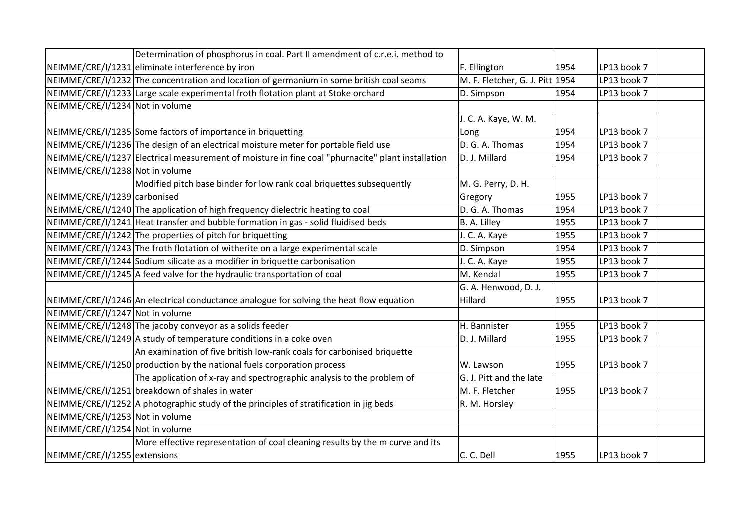|                                 | Determination of phosphorus in coal. Part II amendment of c.r.e.i. method to                      |                                 |      |             |
|---------------------------------|---------------------------------------------------------------------------------------------------|---------------------------------|------|-------------|
|                                 | NEIMME/CRE/I/1231 eliminate interference by iron                                                  | F. Ellington                    | 1954 | LP13 book 7 |
|                                 | NEIMME/CRE/I/1232 The concentration and location of germanium in some british coal seams          | M. F. Fletcher, G. J. Pitt 1954 |      | LP13 book 7 |
|                                 | NEIMME/CRE/I/1233 Large scale experimental froth flotation plant at Stoke orchard                 | D. Simpson                      | 1954 | LP13 book 7 |
| NEIMME/CRE/I/1234 Not in volume |                                                                                                   |                                 |      |             |
|                                 |                                                                                                   | J. C. A. Kaye, W. M.            |      |             |
|                                 | NEIMME/CRE/I/1235 Some factors of importance in briquetting                                       | Long                            | 1954 | LP13 book 7 |
|                                 | NEIMME/CRE/I/1236 The design of an electrical moisture meter for portable field use               | D. G. A. Thomas                 | 1954 | LP13 book 7 |
|                                 | NEIMME/CRE/I/1237 Electrical measurement of moisture in fine coal "phurnacite" plant installation | D. J. Millard                   | 1954 | LP13 book 7 |
| NEIMME/CRE/I/1238 Not in volume |                                                                                                   |                                 |      |             |
|                                 | Modified pitch base binder for low rank coal briquettes subsequently                              | M. G. Perry, D. H.              |      |             |
| NEIMME/CRE/I/1239 carbonised    |                                                                                                   | Gregory                         | 1955 | LP13 book 7 |
|                                 | NEIMME/CRE/I/1240 The application of high frequency dielectric heating to coal                    | D. G. A. Thomas                 | 1954 | LP13 book 7 |
|                                 | $NEIMME/CRE/I/1241$ Heat transfer and bubble formation in gas - solid fluidised beds              | B. A. Lilley                    | 1955 | LP13 book 7 |
|                                 | NEIMME/CRE/I/1242 The properties of pitch for briquetting                                         | J. C. A. Kaye                   | 1955 | LP13 book 7 |
|                                 | NEIMME/CRE/I/1243 The froth flotation of witherite on a large experimental scale                  | D. Simpson                      | 1954 | LP13 book 7 |
|                                 | NEIMME/CRE/I/1244 Sodium silicate as a modifier in briquette carbonisation                        | J. C. A. Kaye                   | 1955 | LP13 book 7 |
|                                 | NEIMME/CRE/I/1245 A feed valve for the hydraulic transportation of coal                           | M. Kendal                       | 1955 | LP13 book 7 |
|                                 |                                                                                                   | G. A. Henwood, D. J.            |      |             |
|                                 | NEIMME/CRE/I/1246 An electrical conductance analogue for solving the heat flow equation           | Hillard                         | 1955 | LP13 book 7 |
| NEIMME/CRE/I/1247 Not in volume |                                                                                                   |                                 |      |             |
|                                 | NEIMME/CRE/I/1248 The jacoby conveyor as a solids feeder                                          | H. Bannister                    | 1955 | LP13 book 7 |
|                                 | NEIMME/CRE/I/1249 A study of temperature conditions in a coke oven                                | D. J. Millard                   | 1955 | LP13 book 7 |
|                                 | An examination of five british low-rank coals for carbonised briquette                            |                                 |      |             |
|                                 | NEIMME/CRE/I/1250 production by the national fuels corporation process                            | W. Lawson                       | 1955 | LP13 book 7 |
|                                 | The application of x-ray and spectrographic analysis to the problem of                            | G. J. Pitt and the late         |      |             |
|                                 | NEIMME/CRE/I/1251 breakdown of shales in water                                                    | M. F. Fletcher                  | 1955 | LP13 book 7 |
|                                 | NEIMME/CRE/I/1252 A photographic study of the principles of stratification in jig beds            | R. M. Horsley                   |      |             |
| NEIMME/CRE/I/1253 Not in volume |                                                                                                   |                                 |      |             |
| NEIMME/CRE/I/1254 Not in volume |                                                                                                   |                                 |      |             |
|                                 | More effective representation of coal cleaning results by the m curve and its                     |                                 |      |             |
| NEIMME/CRE/I/1255 extensions    |                                                                                                   | C. C. Dell                      | 1955 | LP13 book 7 |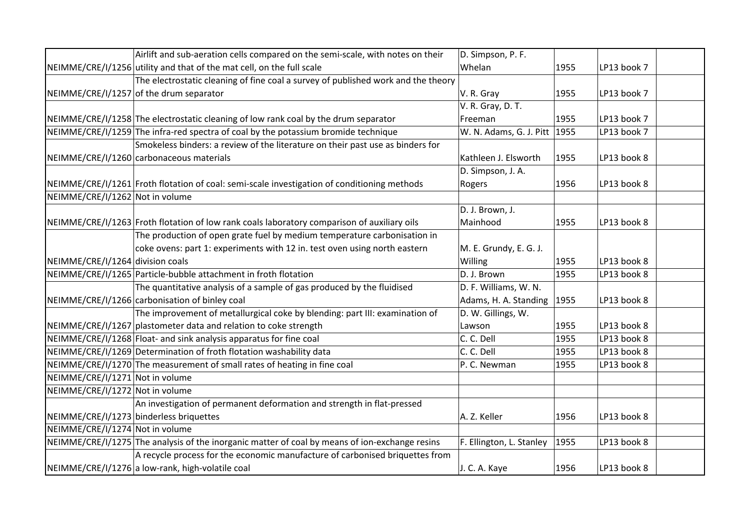|                                  | Airlift and sub-aeration cells compared on the semi-scale, with notes on their                 | D. Simpson, P. F.            |      |             |  |
|----------------------------------|------------------------------------------------------------------------------------------------|------------------------------|------|-------------|--|
|                                  | NEIMME/CRE/I/1256 utility and that of the mat cell, on the full scale                          | Whelan                       | 1955 | LP13 book 7 |  |
|                                  | The electrostatic cleaning of fine coal a survey of published work and the theory              |                              |      |             |  |
|                                  | NEIMME/CRE/I/1257 of the drum separator                                                        | V. R. Gray                   | 1955 | LP13 book 7 |  |
|                                  |                                                                                                | V. R. Gray, D. T.            |      |             |  |
|                                  | NEIMME/CRE/I/1258 The electrostatic cleaning of low rank coal by the drum separator            | Freeman                      | 1955 | LP13 book 7 |  |
|                                  | NEIMME/CRE/I/1259 The infra-red spectra of coal by the potassium bromide technique             | W. N. Adams, G. J. Pitt 1955 |      | LP13 book 7 |  |
|                                  | Smokeless binders: a review of the literature on their past use as binders for                 |                              |      |             |  |
|                                  | NEIMME/CRE/I/1260 carbonaceous materials                                                       | Kathleen J. Elsworth         | 1955 | LP13 book 8 |  |
|                                  |                                                                                                | D. Simpson, J. A.            |      |             |  |
|                                  | NEIMME/CRE/I/1261 Froth flotation of coal: semi-scale investigation of conditioning methods    | Rogers                       | 1956 | LP13 book 8 |  |
| NEIMME/CRE/I/1262 Not in volume  |                                                                                                |                              |      |             |  |
|                                  |                                                                                                | D. J. Brown, J.              |      |             |  |
|                                  | NEIMME/CRE/I/1263 Froth flotation of low rank coals laboratory comparison of auxiliary oils    | Mainhood                     | 1955 | LP13 book 8 |  |
|                                  | The production of open grate fuel by medium temperature carbonisation in                       |                              |      |             |  |
|                                  | coke ovens: part 1: experiments with 12 in. test oven using north eastern                      | M. E. Grundy, E. G. J.       |      |             |  |
| NEIMME/CRE/I/1264 division coals |                                                                                                | Willing                      | 1955 | LP13 book 8 |  |
|                                  | NEIMME/CRE/I/1265 Particle-bubble attachment in froth flotation                                | D. J. Brown                  | 1955 | LP13 book 8 |  |
|                                  | The quantitative analysis of a sample of gas produced by the fluidised                         | D. F. Williams, W. N.        |      |             |  |
|                                  | NEIMME/CRE/I/1266 carbonisation of binley coal                                                 | Adams, H. A. Standing        | 1955 | LP13 book 8 |  |
|                                  | The improvement of metallurgical coke by blending: part III: examination of                    | D. W. Gillings, W.           |      |             |  |
|                                  | NEIMME/CRE/I/1267 plastometer data and relation to coke strength                               | Lawson                       | 1955 | LP13 book 8 |  |
|                                  | NEIMME/CRE/I/1268 Float- and sink analysis apparatus for fine coal                             | C. C. Dell                   | 1955 | LP13 book 8 |  |
|                                  | NEIMME/CRE/I/1269 Determination of froth flotation washability data                            | C. C. Dell                   | 1955 | LP13 book 8 |  |
|                                  | NEIMME/CRE/I/1270 The measurement of small rates of heating in fine coal                       | P. C. Newman                 | 1955 | LP13 book 8 |  |
| NEIMME/CRE/I/1271 Not in volume  |                                                                                                |                              |      |             |  |
| NEIMME/CRE/I/1272 Not in volume  |                                                                                                |                              |      |             |  |
|                                  | An investigation of permanent deformation and strength in flat-pressed                         |                              |      |             |  |
|                                  | NEIMME/CRE/I/1273 binderless briquettes                                                        | A. Z. Keller                 | 1956 | LP13 book 8 |  |
| NEIMME/CRE/I/1274 Not in volume  |                                                                                                |                              |      |             |  |
|                                  | NEIMME/CRE/I/1275 The analysis of the inorganic matter of coal by means of ion-exchange resins | F. Ellington, L. Stanley     | 1955 | LP13 book 8 |  |
|                                  | A recycle process for the economic manufacture of carbonised briquettes from                   |                              |      |             |  |
|                                  | NEIMME/CRE/I/1276 a low-rank, high-volatile coal                                               | J. C. A. Kaye                | 1956 | LP13 book 8 |  |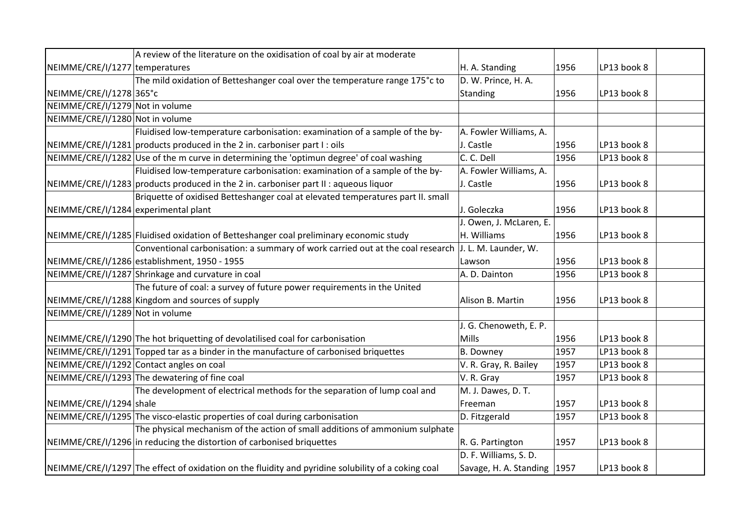|                                      | A review of the literature on the oxidisation of coal by air at moderate                           |                               |      |             |  |
|--------------------------------------|----------------------------------------------------------------------------------------------------|-------------------------------|------|-------------|--|
| NEIMME/CRE/I/1277 temperatures       |                                                                                                    | H. A. Standing                | 1956 | LP13 book 8 |  |
|                                      | The mild oxidation of Betteshanger coal over the temperature range 175°c to                        | D. W. Prince, H. A.           |      |             |  |
| NEIMME/CRE/I/1278 365°C              |                                                                                                    | Standing                      | 1956 | LP13 book 8 |  |
| NEIMME/CRE/I/1279 Not in volume      |                                                                                                    |                               |      |             |  |
| NEIMME/CRE/I/1280 Not in volume      |                                                                                                    |                               |      |             |  |
|                                      | Fluidised low-temperature carbonisation: examination of a sample of the by-                        | A. Fowler Williams, A.        |      |             |  |
|                                      | NEIMME/CRE/I/1281 products produced in the 2 in. carboniser part I: oils                           | J. Castle                     | 1956 | LP13 book 8 |  |
|                                      | NEIMME/CRE/I/1282 Use of the m curve in determining the 'optimun degree' of coal washing           | C. C. Dell                    | 1956 | LP13 book 8 |  |
|                                      | Fluidised low-temperature carbonisation: examination of a sample of the by-                        | A. Fowler Williams, A.        |      |             |  |
|                                      | NEIMME/CRE/I/1283 products produced in the 2 in. carboniser part II : aqueous liquor               | J. Castle                     | 1956 | LP13 book 8 |  |
|                                      | Briquette of oxidised Betteshanger coal at elevated temperatures part II. small                    |                               |      |             |  |
| NEIMME/CRE/I/1284 experimental plant |                                                                                                    | J. Goleczka                   | 1956 | LP13 book 8 |  |
|                                      |                                                                                                    | J. Owen, J. McLaren, E.       |      |             |  |
|                                      | NEIMME/CRE/I/1285 Fluidised oxidation of Betteshanger coal preliminary economic study              | H. Williams                   | 1956 | LP13 book 8 |  |
|                                      | Conventional carbonisation: a summary of work carried out at the coal research                     | J. L. M. Launder, W.          |      |             |  |
|                                      | NEIMME/CRE/I/1286 establishment, 1950 - 1955                                                       | Lawson                        | 1956 | LP13 book 8 |  |
|                                      | NEIMME/CRE/I/1287 Shrinkage and curvature in coal                                                  | A. D. Dainton                 | 1956 | LP13 book 8 |  |
|                                      | The future of coal: a survey of future power requirements in the United                            |                               |      |             |  |
|                                      | NEIMME/CRE/I/1288 Kingdom and sources of supply                                                    | Alison B. Martin              | 1956 | LP13 book 8 |  |
| NEIMME/CRE/I/1289 Not in volume      |                                                                                                    |                               |      |             |  |
|                                      |                                                                                                    | J. G. Chenoweth, E. P.        |      |             |  |
|                                      | NEIMME/CRE/I/1290 The hot briquetting of devolatilised coal for carbonisation                      | Mills                         | 1956 | LP13 book 8 |  |
|                                      | NEIMME/CRE/I/1291 Topped tar as a binder in the manufacture of carbonised briquettes               | <b>B.</b> Downey              | 1957 | LP13 book 8 |  |
|                                      | NEIMME/CRE/I/1292 Contact angles on coal                                                           | V. R. Gray, R. Bailey         | 1957 | LP13 book 8 |  |
|                                      | NEIMME/CRE/I/1293 The dewatering of fine coal                                                      | V. R. Gray                    | 1957 | LP13 book 8 |  |
|                                      | The development of electrical methods for the separation of lump coal and                          | M. J. Dawes, D. T.            |      |             |  |
| NEIMME/CRE/I/1294 shale              |                                                                                                    | Freeman                       | 1957 | LP13 book 8 |  |
|                                      | NEIMME/CRE/I/1295 The visco-elastic properties of coal during carbonisation                        | D. Fitzgerald                 | 1957 | LP13 book 8 |  |
|                                      | The physical mechanism of the action of small additions of ammonium sulphate                       |                               |      |             |  |
|                                      | NEIMME/CRE/I/1296 in reducing the distortion of carbonised briquettes                              | R. G. Partington              | 1957 | LP13 book 8 |  |
|                                      |                                                                                                    | D. F. Williams, S. D.         |      |             |  |
|                                      | NEIMME/CRE/I/1297 The effect of oxidation on the fluidity and pyridine solubility of a coking coal | Savage, H. A. Standing   1957 |      | LP13 book 8 |  |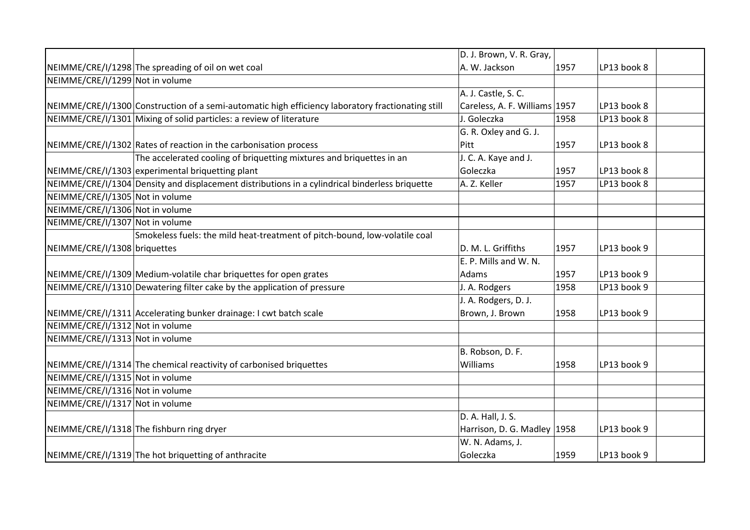|                                 |                                                                                                   | D. J. Brown, V. R. Gray,      |      |             |  |
|---------------------------------|---------------------------------------------------------------------------------------------------|-------------------------------|------|-------------|--|
|                                 | NEIMME/CRE/I/1298 The spreading of oil on wet coal                                                | A. W. Jackson                 | 1957 | LP13 book 8 |  |
| NEIMME/CRE/I/1299 Not in volume |                                                                                                   |                               |      |             |  |
|                                 |                                                                                                   | A. J. Castle, S. C.           |      |             |  |
|                                 | NEIMME/CRE/I/1300 Construction of a semi-automatic high efficiency laboratory fractionating still | Careless, A. F. Williams 1957 |      | LP13 book 8 |  |
|                                 | NEIMME/CRE/I/1301 Mixing of solid particles: a review of literature                               | J. Goleczka                   | 1958 | LP13 book 8 |  |
|                                 |                                                                                                   | G. R. Oxley and G. J.         |      |             |  |
|                                 | NEIMME/CRE/I/1302 Rates of reaction in the carbonisation process                                  | Pitt                          | 1957 | LP13 book 8 |  |
|                                 | The accelerated cooling of briquetting mixtures and briquettes in an                              | J. C. A. Kaye and J.          |      |             |  |
|                                 | NEIMME/CRE/I/1303 experimental briquetting plant                                                  | Goleczka                      | 1957 | LP13 book 8 |  |
|                                 | NEIMME/CRE/I/1304 Density and displacement distributions in a cylindrical binderless briquette    | A. Z. Keller                  | 1957 | LP13 book 8 |  |
| NEIMME/CRE/I/1305 Not in volume |                                                                                                   |                               |      |             |  |
| NEIMME/CRE/I/1306 Not in volume |                                                                                                   |                               |      |             |  |
| NEIMME/CRE/I/1307 Not in volume |                                                                                                   |                               |      |             |  |
|                                 | Smokeless fuels: the mild heat-treatment of pitch-bound, low-volatile coal                        |                               |      |             |  |
| NEIMME/CRE/I/1308 briquettes    |                                                                                                   | D. M. L. Griffiths            | 1957 | LP13 book 9 |  |
|                                 |                                                                                                   | E. P. Mills and W. N.         |      |             |  |
|                                 | NEIMME/CRE/I/1309 Medium-volatile char briquettes for open grates                                 | Adams                         | 1957 | LP13 book 9 |  |
|                                 | NEIMME/CRE/I/1310 Dewatering filter cake by the application of pressure                           | J. A. Rodgers                 | 1958 | LP13 book 9 |  |
|                                 |                                                                                                   | J. A. Rodgers, D. J.          |      |             |  |
|                                 | NEIMME/CRE/I/1311 Accelerating bunker drainage: I cwt batch scale                                 | Brown, J. Brown               | 1958 | LP13 book 9 |  |
| NEIMME/CRE/I/1312 Not in volume |                                                                                                   |                               |      |             |  |
| NEIMME/CRE/I/1313 Not in volume |                                                                                                   |                               |      |             |  |
|                                 |                                                                                                   | B. Robson, D. F.              |      |             |  |
|                                 | NEIMME/CRE/I/1314 The chemical reactivity of carbonised briquettes                                | Williams                      | 1958 | LP13 book 9 |  |
| NEIMME/CRE/I/1315 Not in volume |                                                                                                   |                               |      |             |  |
| NEIMME/CRE/I/1316 Not in volume |                                                                                                   |                               |      |             |  |
| NEIMME/CRE/I/1317 Not in volume |                                                                                                   |                               |      |             |  |
|                                 |                                                                                                   | D. A. Hall, J. S.             |      |             |  |
|                                 | NEIMME/CRE/I/1318 The fishburn ring dryer                                                         | Harrison, D. G. Madley 1958   |      | LP13 book 9 |  |
|                                 |                                                                                                   | W. N. Adams, J.               |      |             |  |
|                                 | NEIMME/CRE/I/1319 The hot briquetting of anthracite                                               | Goleczka                      | 1959 | LP13 book 9 |  |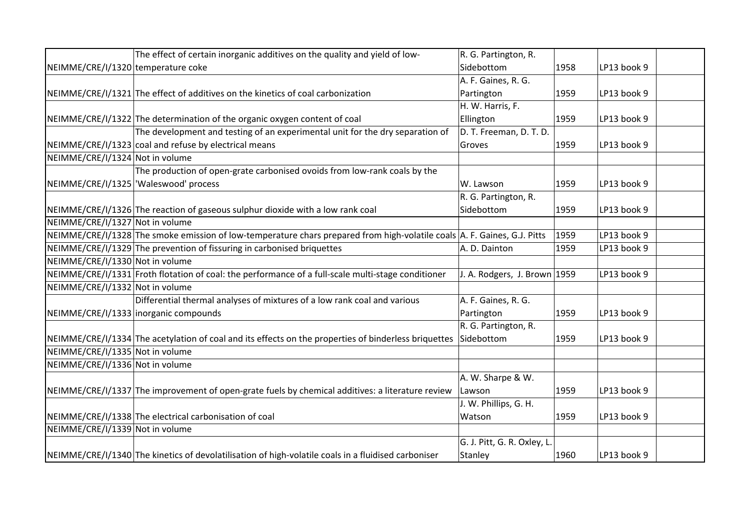|                                    | The effect of certain inorganic additives on the quality and yield of low-                                               | R. G. Partington, R.         |      |             |  |
|------------------------------------|--------------------------------------------------------------------------------------------------------------------------|------------------------------|------|-------------|--|
| NEIMME/CRE/I/1320 temperature coke |                                                                                                                          | Sidebottom                   | 1958 | LP13 book 9 |  |
|                                    |                                                                                                                          | A. F. Gaines, R. G.          |      |             |  |
|                                    | NEIMME/CRE/I/1321 The effect of additives on the kinetics of coal carbonization                                          | Partington                   | 1959 | LP13 book 9 |  |
|                                    |                                                                                                                          | H. W. Harris, F.             |      |             |  |
|                                    | NEIMME/CRE/I/1322 The determination of the organic oxygen content of coal                                                | Ellington                    | 1959 | LP13 book 9 |  |
|                                    | The development and testing of an experimental unit for the dry separation of                                            | D. T. Freeman, D. T. D.      |      |             |  |
|                                    | NEIMME/CRE/I/1323 coal and refuse by electrical means                                                                    | Groves                       | 1959 | LP13 book 9 |  |
| NEIMME/CRE/I/1324 Not in volume    |                                                                                                                          |                              |      |             |  |
|                                    | The production of open-grate carbonised ovoids from low-rank coals by the                                                |                              |      |             |  |
|                                    | NEIMME/CRE/I/1325 Waleswood' process                                                                                     | W. Lawson                    | 1959 | LP13 book 9 |  |
|                                    |                                                                                                                          | R. G. Partington, R.         |      |             |  |
|                                    | NEIMME/CRE/I/1326 The reaction of gaseous sulphur dioxide with a low rank coal                                           | Sidebottom                   | 1959 | LP13 book 9 |  |
| NEIMME/CRE/I/1327 Not in volume    |                                                                                                                          |                              |      |             |  |
|                                    | NEIMME/CRE/I/1328 The smoke emission of low-temperature chars prepared from high-volatile coals A. F. Gaines, G.J. Pitts |                              | 1959 | LP13 book 9 |  |
|                                    | NEIMME/CRE/I/1329 The prevention of fissuring in carbonised briquettes                                                   | A. D. Dainton                | 1959 | LP13 book 9 |  |
| NEIMME/CRE/I/1330 Not in volume    |                                                                                                                          |                              |      |             |  |
|                                    | NEIMME/CRE/I/1331 Froth flotation of coal: the performance of a full-scale multi-stage conditioner                       | J. A. Rodgers, J. Brown 1959 |      | LP13 book 9 |  |
| NEIMME/CRE/I/1332 Not in volume    |                                                                                                                          |                              |      |             |  |
|                                    | Differential thermal analyses of mixtures of a low rank coal and various                                                 | A. F. Gaines, R. G.          |      |             |  |
|                                    | NEIMME/CRE/I/1333 inorganic compounds                                                                                    | Partington                   | 1959 | LP13 book 9 |  |
|                                    |                                                                                                                          | R. G. Partington, R.         |      |             |  |
|                                    | NEIMME/CRE/I/1334 The acetylation of coal and its effects on the properties of binderless briquettes                     | Sidebottom                   | 1959 | LP13 book 9 |  |
| NEIMME/CRE/I/1335 Not in volume    |                                                                                                                          |                              |      |             |  |
| NEIMME/CRE/I/1336 Not in volume    |                                                                                                                          |                              |      |             |  |
|                                    |                                                                                                                          | A. W. Sharpe & W.            |      |             |  |
|                                    | NEIMME/CRE/I/1337 The improvement of open-grate fuels by chemical additives: a literature review                         | Lawson                       | 1959 | LP13 book 9 |  |
|                                    |                                                                                                                          | J. W. Phillips, G. H.        |      |             |  |
|                                    | NEIMME/CRE/I/1338 The electrical carbonisation of coal                                                                   | Watson                       | 1959 | LP13 book 9 |  |
| NEIMME/CRE/I/1339 Not in volume    |                                                                                                                          |                              |      |             |  |
|                                    |                                                                                                                          | G. J. Pitt, G. R. Oxley, L.  |      |             |  |
|                                    | NEIMME/CRE/I/1340 The kinetics of devolatilisation of high-volatile coals in a fluidised carboniser                      | Stanley                      | 1960 | LP13 book 9 |  |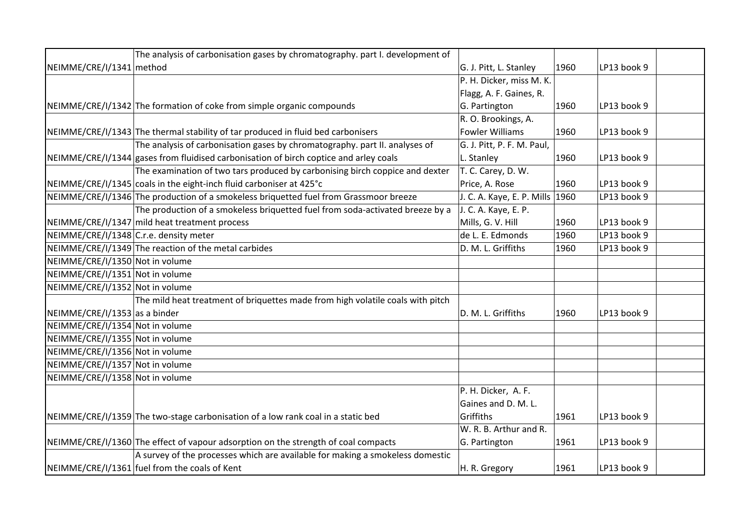|                                        | The analysis of carbonisation gases by chromatography. part I. development of         |                                 |      |             |  |
|----------------------------------------|---------------------------------------------------------------------------------------|---------------------------------|------|-------------|--|
| NEIMME/CRE/I/1341 method               |                                                                                       | G. J. Pitt, L. Stanley          | 1960 | LP13 book 9 |  |
|                                        |                                                                                       | P. H. Dicker, miss M. K.        |      |             |  |
|                                        |                                                                                       | Flagg, A. F. Gaines, R.         |      |             |  |
|                                        | NEIMME/CRE/I/1342 The formation of coke from simple organic compounds                 | G. Partington                   | 1960 | LP13 book 9 |  |
|                                        |                                                                                       | R. O. Brookings, A.             |      |             |  |
|                                        | NEIMME/CRE/I/1343 The thermal stability of tar produced in fluid bed carbonisers      | <b>Fowler Williams</b>          | 1960 | LP13 book 9 |  |
|                                        | The analysis of carbonisation gases by chromatography. part II. analyses of           | G. J. Pitt, P. F. M. Paul,      |      |             |  |
|                                        | NEIMME/CRE/I/1344 gases from fluidised carbonisation of birch coptice and arley coals | L. Stanley                      | 1960 | LP13 book 9 |  |
|                                        | The examination of two tars produced by carbonising birch coppice and dexter          | T. C. Carey, D. W.              |      |             |  |
|                                        | NEIMME/CRE/I/1345 coals in the eight-inch fluid carboniser at 425°C                   | Price, A. Rose                  | 1960 | LP13 book 9 |  |
|                                        | NEIMME/CRE/I/1346 The production of a smokeless briquetted fuel from Grassmoor breeze | J. C. A. Kaye, E. P. Mills 1960 |      | LP13 book 9 |  |
|                                        | The production of a smokeless briquetted fuel from soda-activated breeze by a         | J. C. A. Kaye, E. P.            |      |             |  |
|                                        | NEIMME/CRE/I/1347 mild heat treatment process                                         | Mills, G. V. Hill               | 1960 | LP13 book 9 |  |
| NEIMME/CRE/I/1348 C.r.e. density meter |                                                                                       | de L. E. Edmonds                | 1960 | LP13 book 9 |  |
|                                        | NEIMME/CRE/I/1349 The reaction of the metal carbides                                  | D. M. L. Griffiths              | 1960 | LP13 book 9 |  |
| NEIMME/CRE/I/1350 Not in volume        |                                                                                       |                                 |      |             |  |
| NEIMME/CRE/I/1351 Not in volume        |                                                                                       |                                 |      |             |  |
| NEIMME/CRE/I/1352 Not in volume        |                                                                                       |                                 |      |             |  |
|                                        | The mild heat treatment of briquettes made from high volatile coals with pitch        |                                 |      |             |  |
| NEIMME/CRE/I/1353 as a binder          |                                                                                       | D. M. L. Griffiths              | 1960 | LP13 book 9 |  |
| NEIMME/CRE/I/1354 Not in volume        |                                                                                       |                                 |      |             |  |
| NEIMME/CRE/I/1355 Not in volume        |                                                                                       |                                 |      |             |  |
| NEIMME/CRE/I/1356 Not in volume        |                                                                                       |                                 |      |             |  |
| NEIMME/CRE/I/1357 Not in volume        |                                                                                       |                                 |      |             |  |
| NEIMME/CRE/I/1358 Not in volume        |                                                                                       |                                 |      |             |  |
|                                        |                                                                                       | P. H. Dicker, A. F.             |      |             |  |
|                                        |                                                                                       | Gaines and D. M. L.             |      |             |  |
|                                        | NEIMME/CRE/I/1359 The two-stage carbonisation of a low rank coal in a static bed      | Griffiths                       | 1961 | LP13 book 9 |  |
|                                        |                                                                                       | W. R. B. Arthur and R.          |      |             |  |
|                                        | NEIMME/CRE/I/1360 The effect of vapour adsorption on the strength of coal compacts    | G. Partington                   | 1961 | LP13 book 9 |  |
|                                        | A survey of the processes which are available for making a smokeless domestic         |                                 |      |             |  |
|                                        | NEIMME/CRE/I/1361 fuel from the coals of Kent                                         | H. R. Gregory                   | 1961 | LP13 book 9 |  |